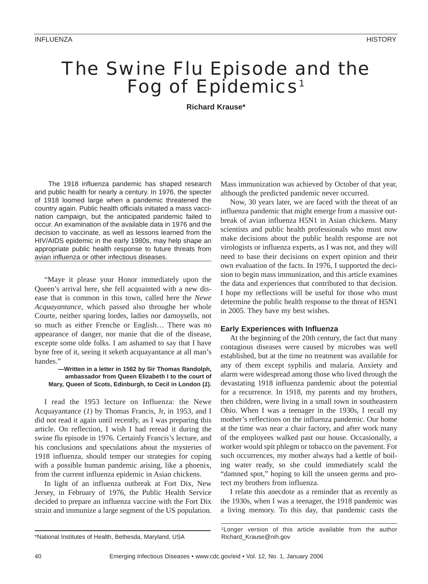# The Swine Flu Episode and the Fog of Epidemics<sup>1</sup>

**Richard Krause\***

The 1918 influenza pandemic has shaped research and public health for nearly a century. In 1976, the specter of 1918 loomed large when a pandemic threatened the country again. Public health officials initiated a mass vaccination campaign, but the anticipated pandemic failed to occur. An examination of the available data in 1976 and the decision to vaccinate, as well as lessons learned from the HIV/AIDS epidemic in the early 1980s, may help shape an appropriate public health response to future threats from avian influenza or other infectious diseases.

"Maye it please your Honor immediately upon the Queen's arrival here, she fell acquainted with a new disease that is common in this town, called here the *Newe Acquayantance*, which passed also throughe her whole Courte, neither sparing lordes, ladies nor damoysells, not so much as either Frenche or English… There was no appearance of danger, nor manie that die of the disease, excepte some olde folks. I am ashamed to say that I have byne free of it, seeing it seketh acquayantance at all man's handes.'

### **—Written in a letter in 1562 by Sir Thomas Randolph, ambassador from Queen Elizabeth I to the court of Mary, Queen of Scots, Edinburgh, to Cecil in London (***1***).**

I read the 1953 lecture on Influenza: the Newe Acquayantance (*1*) by Thomas Francis, Jr, in 1953, and I did not read it again until recently, as I was preparing this article. On reflection, I wish I had reread it during the swine flu episode in 1976. Certainly Francis's lecture, and his conclusions and speculations about the mysteries of 1918 influenza, should temper our strategies for coping with a possible human pandemic arising, like a phoenix, from the current influenza epidemic in Asian chickens.

In light of an influenza outbreak at Fort Dix, New Jersey, in February of 1976, the Public Health Service decided to prepare an influenza vaccine with the Fort Dix strain and immunize a large segment of the US population.

Mass immunization was achieved by October of that year, although the predicted pandemic never occurred.

Now, 30 years later, we are faced with the threat of an influenza pandemic that might emerge from a massive outbreak of avian influenza H5N1 in Asian chickens. Many scientists and public health professionals who must now make decisions about the public health response are not virologists or influenza experts, as I was not, and they will need to base their decisions on expert opinion and their own evaluation of the facts. In 1976, I supported the decision to begin mass immunization, and this article examines the data and experiences that contributed to that decision. I hope my reflections will be useful for those who must determine the public health response to the threat of H5N1 in 2005. They have my best wishes.

# **Early Experiences with Influenza**

At the beginning of the 20th century, the fact that many contagious diseases were caused by microbes was well established, but at the time no treatment was available for any of them except syphilis and malaria. Anxiety and alarm were widespread among those who lived through the devastating 1918 influenza pandemic about the potential for a recurrence. In 1918, my parents and my brothers, then children, were living in a small town in southeastern Ohio. When I was a teenager in the 1930s, I recall my mother's reflections on the influenza pandemic. Our home at the time was near a chair factory, and after work many of the employees walked past our house. Occasionally, a worker would spit phlegm or tobacco on the pavement. For such occurrences, my mother always had a kettle of boiling water ready, so she could immediately scald the "damned spot," hoping to kill the unseen germs and protect my brothers from influenza.

I relate this anecdote as a reminder that as recently as the 1930s, when I was a teenager, the 1918 pandemic was a living memory. To this day, that pandemic casts the

<sup>\*</sup>National Institutes of Health, Bethesda, Maryland, USA

<sup>1</sup>Longer version of this article available from the author Richard\_Krause@nih.gov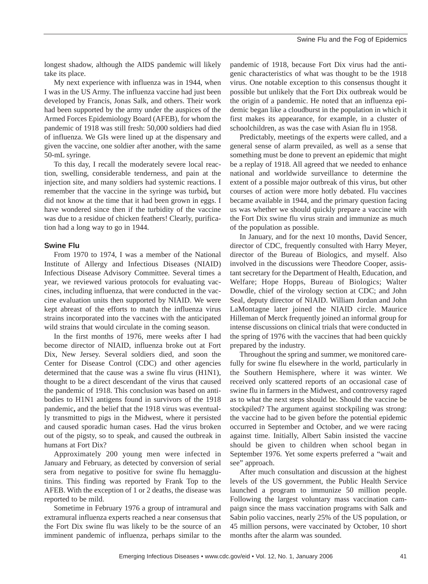longest shadow, although the AIDS pandemic will likely take its place.

My next experience with influenza was in 1944, when I was in the US Army. The influenza vaccine had just been developed by Francis, Jonas Salk, and others. Their work had been supported by the army under the auspices of the Armed Forces Epidemiology Board (AFEB), for whom the pandemic of 1918 was still fresh: 50,000 soldiers had died of influenza. We GIs were lined up at the dispensary and given the vaccine, one soldier after another, with the same 50-mL syringe.

To this day, I recall the moderately severe local reaction, swelling, considerable tenderness, and pain at the injection site, and many soldiers had systemic reactions. I remember that the vaccine in the syringe was turbid**,** but did not know at the time that it had been grown in eggs. I have wondered since then if the turbidity of the vaccine was due to a residue of chicken feathers! Clearly, purification had a long way to go in 1944.

# **Swine Flu**

From 1970 to 1974, I was a member of the National Institute of Allergy and Infectious Diseases (NIAID) Infectious Disease Advisory Committee. Several times a year, we reviewed various protocols for evaluating vaccines, including influenza, that were conducted in the vaccine evaluation units then supported by NIAID. We were kept abreast of the efforts to match the influenza virus strains incorporated into the vaccines with the anticipated wild strains that would circulate in the coming season.

In the first months of 1976, mere weeks after I had become director of NIAID, influenza broke out at Fort Dix, New Jersey. Several soldiers died, and soon the Center for Disease Control (CDC) and other agencies determined that the cause was a swine flu virus (H1N1), thought to be a direct descendant of the virus that caused the pandemic of 1918. This conclusion was based on antibodies to H1N1 antigens found in survivors of the 1918 pandemic**,** and the belief that the 1918 virus was eventually transmitted to pigs in the Midwest, where it persisted and caused sporadic human cases. Had the virus broken out of the pigsty, so to speak, and caused the outbreak in humans at Fort Dix?

Approximately 200 young men were infected in January and February, as detected by conversion of serial sera from negative to positive for swine flu hemagglutinins. This finding was reported by Frank Top to the AFEB. With the exception of 1 or 2 deaths, the disease was reported to be mild.

Sometime in February 1976 a group of intramural and extramural influenza experts reached a near consensus that the Fort Dix swine flu was likely to be the source of an imminent pandemic of influenza, perhaps similar to the pandemic of 1918, because Fort Dix virus had the antigenic characteristics of what was thought to be the 1918 virus. One notable exception to this consensus thought it possible but unlikely that the Fort Dix outbreak would be the origin of a pandemic. He noted that an influenza epidemic began like a cloudburst in the population in which it first makes its appearance, for example, in a cluster of schoolchildren, as was the case with Asian flu in 1958.

Predictably, meetings of the experts were called, and a general sense of alarm prevailed, as well as a sense that something must be done to prevent an epidemic that might be a replay of 1918. All agreed that we needed to enhance national and worldwide surveillance to determine the extent of a possible major outbreak of this virus, but other courses of action were more hotly debated. Flu vaccines became available in 1944, and the primary question facing us was whether we should quickly prepare a vaccine with the Fort Dix swine flu virus strain and immunize as much of the population as possible.

In January, and for the next 10 months, David Sencer, director of CDC, frequently consulted with Harry Meyer, director of the Bureau of Biologics, and myself. Also involved in the discussions were Theodore Cooper, assistant secretary for the Department of Health, Education, and Welfare; Hope Hopps, Bureau of Biologics; Walter Dowdle, chief of the virology section at CDC; and John Seal, deputy director of NIAID. William Jordan and John LaMontagne later joined the NIAID circle. Maurice Hilleman of Merck frequently joined an informal group for intense discussions on clinical trials that were conducted in the spring of 1976 with the vaccines that had been quickly prepared by the industry.

Throughout the spring and summer, we monitored carefully for swine flu elsewhere in the world, particularly in the Southern Hemisphere, where it was winter. We received only scattered reports of an occasional case of swine flu in farmers in the Midwest, and controversy raged as to what the next steps should be. Should the vaccine be stockpiled? The argument against stockpiling was strong: the vaccine had to be given before the potential epidemic occurred in September and October, and we were racing against time. Initially, Albert Sabin insisted the vaccine should be given to children when school began in September 1976. Yet some experts preferred a "wait and see" approach.

After much consultation and discussion at the highest levels of the US government, the Public Health Service launched a program to immunize 50 million people. Following the largest voluntary mass vaccination campaign since the mass vaccination programs with Salk and Sabin polio vaccines, nearly 25% of the US population, or 45 million persons, were vaccinated by October, 10 short months after the alarm was sounded.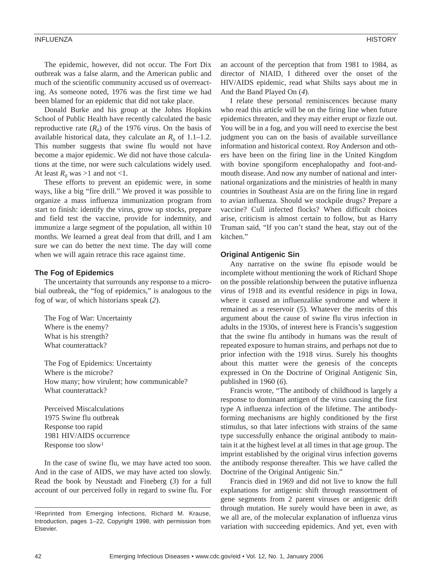#### INFLUENZA HISTORY

The epidemic, however, did not occur. The Fort Dix outbreak was a false alarm, and the American public and much of the scientific community accused us of overreacting. As someone noted, 1976 was the first time we had been blamed for an epidemic that did not take place.

Donald Burke and his group at the Johns Hopkins School of Public Health have recently calculated the basic reproductive rate  $(R_0)$  of the 1976 virus. On the basis of available historical data, they calculate an  $R_0$  of 1.1–1.2. This number suggests that swine flu would not have become a major epidemic. We did not have those calculations at the time, nor were such calculations widely used. At least  $R_0$  was >1 and not <1.

These efforts to prevent an epidemic were, in some ways, like a big "fire drill." We proved it was possible to organize a mass influenza immunization program from start to finish: identify the virus, grow up stocks, prepare and field test the vaccine, provide for indemnity, and immunize a large segment of the population, all within 10 months. We learned a great deal from that drill, and I am sure we can do better the next time. The day will come when we will again retrace this race against time.

## **The Fog of Epidemics**

The uncertainty that surrounds any response to a microbial outbreak, the "fog of epidemics," is analogous to the fog of war, of which historians speak (*2*).

The Fog of War: Uncertainty Where is the enemy? What is his strength? What counterattack?

The Fog of Epidemics: Uncertainty Where is the microbe? How many; how virulent; how communicable? What counterattack?

Perceived Miscalculations 1975 Swine flu outbreak Response too rapid 1981 HIV/AIDS occurrence Response too slow1

In the case of swine flu, we may have acted too soon. And in the case of AIDS, we may have acted too slowly. Read the book by Neustadt and Fineberg (*3*) for a full account of our perceived folly in regard to swine flu. For an account of the perception that from 1981 to 1984, as director of NIAID, I dithered over the onset of the HIV/AIDS epidemic, read what Shilts says about me in And the Band Played On (*4*).

I relate these personal reminiscences because many who read this article will be on the firing line when future epidemics threaten, and they may either erupt or fizzle out. You will be in a fog, and you will need to exercise the best judgment you can on the basis of available surveillance information and historical context. Roy Anderson and others have been on the firing line in the United Kingdom with bovine spongiform encephalopathy and foot-andmouth disease. And now any number of national and international organizations and the ministries of health in many countries in Southeast Asia are on the firing line in regard to avian influenza. Should we stockpile drugs? Prepare a vaccine? Cull infected flocks? When difficult choices arise, criticism is almost certain to follow, but as Harry Truman said, "If you can't stand the heat, stay out of the kitchen."

## **Original Antigenic Sin**

Any narrative on the swine flu episode would be incomplete without mentioning the work of Richard Shope on the possible relationship between the putative influenza virus of 1918 and its eventful residence in pigs in Iowa, where it caused an influenzalike syndrome and where it remained as a reservoir (*5*). Whatever the merits of this argument about the cause of swine flu virus infection in adults in the 1930s, of interest here is Francis's suggestion that the swine flu antibody in humans was the result of repeated exposure to human strains, and perhaps not due to prior infection with the 1918 virus. Surely his thoughts about this matter were the genesis of the concepts expressed in On the Doctrine of Original Antigenic Sin, published in 1960 (*6*).

Francis wrote, "The antibody of childhood is largely a response to dominant antigen of the virus causing the first type A influenza infection of the lifetime. The antibodyforming mechanisms are highly conditioned by the first stimulus, so that later infections with strains of the same type successfully enhance the original antibody to maintain it at the highest level at all times in that age group. The imprint established by the original virus infection governs the antibody response thereafter. This we have called the Doctrine of the Original Antigenic Sin."

Francis died in 1969 and did not live to know the full explanations for antigenic shift through reassortment of gene segments from 2 parent viruses or antigenic drift through mutation. He surely would have been in awe, as we all are, of the molecular explanation of influenza virus variation with succeeding epidemics. And yet, even with

<sup>1</sup>Reprinted from Emerging Infections, Richard M. Krause, Introduction, pages 1–22, Copyright 1998, with permission from Elsevier.